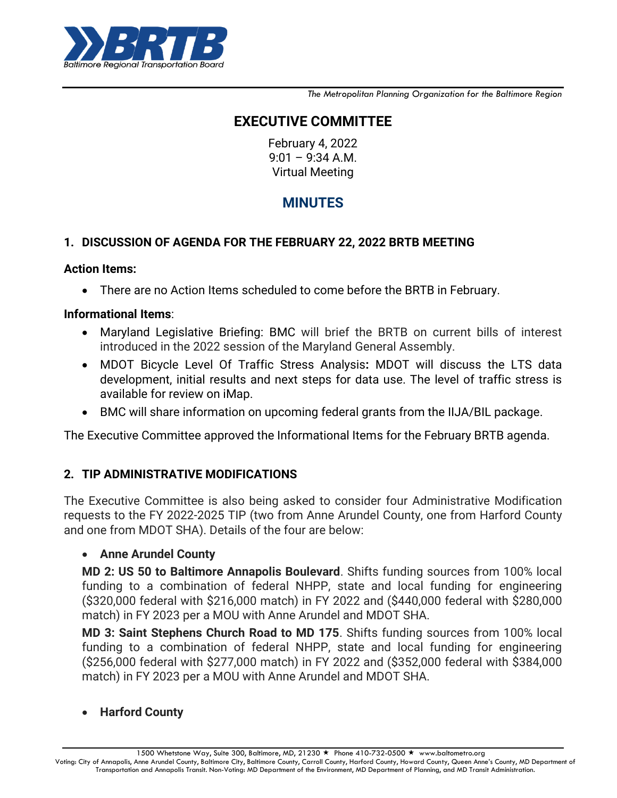

*The Metropolitan Planning Organization for the Baltimore Region*

# **EXECUTIVE COMMITTEE**

February 4, 2022 9:01 – 9:34 A.M. Virtual Meeting

# **MINUTES**

### **1. DISCUSSION OF AGENDA FOR THE FEBRUARY 22, 2022 BRTB MEETING**

### **Action Items:**

There are no Action Items scheduled to come before the BRTB in February.

### **Informational Items**:

- Maryland Legislative Briefing: BMC will brief the BRTB on current bills of interest introduced in the 2022 session of the Maryland General Assembly.
- MDOT Bicycle Level Of Traffic Stress Analysis**:** MDOT will discuss the LTS data development, initial results and next steps for data use. The level of traffic stress is available for review on iMap.
- BMC will share information on upcoming federal grants from the IIJA/BIL package.

The Executive Committee approved the Informational Items for the February BRTB agenda.

### **2. TIP ADMINISTRATIVE MODIFICATIONS**

The Executive Committee is also being asked to consider four Administrative Modification requests to the FY 2022-2025 TIP (two from Anne Arundel County, one from Harford County and one from MDOT SHA). Details of the four are below:

### **Anne Arundel County**

**MD 2: US 50 to Baltimore Annapolis Boulevard**. Shifts funding sources from 100% local funding to a combination of federal NHPP, state and local funding for engineering (\$320,000 federal with \$216,000 match) in FY 2022 and (\$440,000 federal with \$280,000 match) in FY 2023 per a MOU with Anne Arundel and MDOT SHA.

**MD 3: Saint Stephens Church Road to MD 175**. Shifts funding sources from 100% local funding to a combination of federal NHPP, state and local funding for engineering (\$256,000 federal with \$277,000 match) in FY 2022 and (\$352,000 federal with \$384,000 match) in FY 2023 per a MOU with Anne Arundel and MDOT SHA.

### **Harford County**

1500 Whetstone Way, Suite 300, Baltimore, MD, 21230 ★ Phone 410-732-0500 ★ www.baltometro.org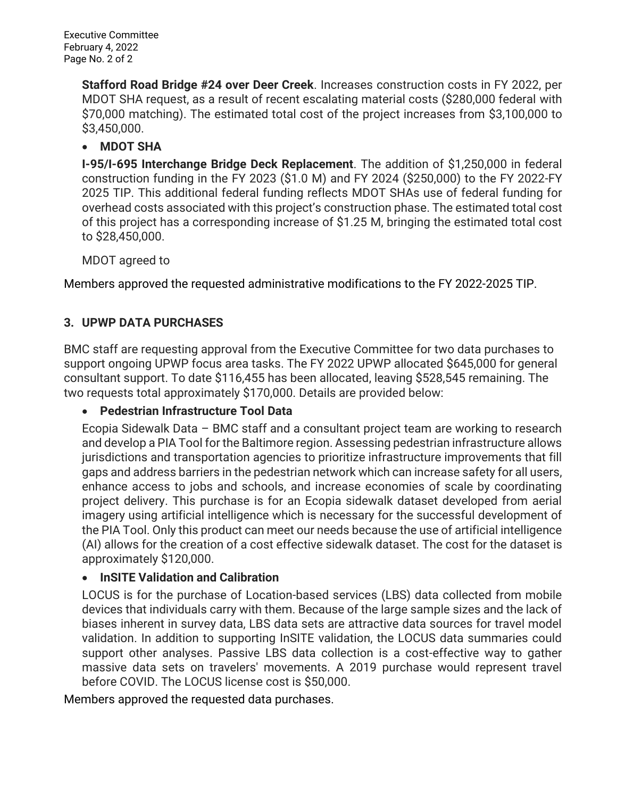**Stafford Road Bridge #24 over Deer Creek**. Increases construction costs in FY 2022, per MDOT SHA request, as a result of recent escalating material costs (\$280,000 federal with \$70,000 matching). The estimated total cost of the project increases from \$3,100,000 to \$3,450,000.

### **MDOT SHA**

**I-95/I-695 Interchange Bridge Deck Replacement**. The addition of \$1,250,000 in federal construction funding in the FY 2023 (\$1.0 M) and FY 2024 (\$250,000) to the FY 2022-FY 2025 TIP. This additional federal funding reflects MDOT SHAs use of federal funding for overhead costs associated with this project's construction phase. The estimated total cost of this project has a corresponding increase of \$1.25 M, bringing the estimated total cost to \$28,450,000.

MDOT agreed to

Members approved the requested administrative modifications to the FY 2022-2025 TIP.

## **3. UPWP DATA PURCHASES**

BMC staff are requesting approval from the Executive Committee for two data purchases to support ongoing UPWP focus area tasks. The FY 2022 UPWP allocated \$645,000 for general consultant support. To date \$116,455 has been allocated, leaving \$528,545 remaining. The two requests total approximately \$170,000. Details are provided below:

## **Pedestrian Infrastructure Tool Data**

Ecopia Sidewalk Data – BMC staff and a consultant project team are working to research and develop a PIA Tool for the Baltimore region. Assessing pedestrian infrastructure allows jurisdictions and transportation agencies to prioritize infrastructure improvements that fill gaps and address barriers in the pedestrian network which can increase safety for all users, enhance access to jobs and schools, and increase economies of scale by coordinating project delivery. This purchase is for an Ecopia sidewalk dataset developed from aerial imagery using artificial intelligence which is necessary for the successful development of the PIA Tool. Only this product can meet our needs because the use of artificial intelligence (AI) allows for the creation of a cost effective sidewalk dataset. The cost for the dataset is approximately \$120,000.

### **InSITE Validation and Calibration**

LOCUS is for the purchase of Location-based services (LBS) data collected from mobile devices that individuals carry with them. Because of the large sample sizes and the lack of biases inherent in survey data, LBS data sets are attractive data sources for travel model validation. In addition to supporting InSITE validation, the LOCUS data summaries could support other analyses. Passive LBS data collection is a cost-effective way to gather massive data sets on travelers' movements. A 2019 purchase would represent travel before COVID. The LOCUS license cost is \$50,000.

Members approved the requested data purchases.